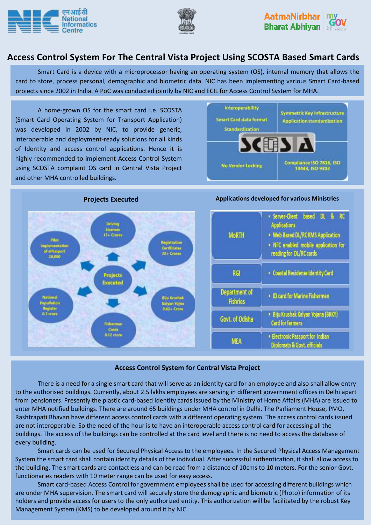





# **Access Control System For The Central Vista Project Using SCOSTA Based Smart Cards**

Smart Card is a device with a microprocessor having an operating system (OS), internal memory that allows the card to store, process personal, demographic and biometric data. NIC has been implementing various Smart Card-based projects since 2002 in India. A PoC was conducted jointly by NIC and ECIL for Access Control System for MHA.

A home-grown OS for the smart card i.e. SCOSTA (Smart Card Operating System for Transport Application) was developed in 2002 by NIC, to provide generic, interoperable and deployment-ready solutions for all kinds of Identity and access control applications. Hence it is highly recommended to implement Access Control System using SCOSTA complaint OS card in Central Vista Project and other MHA controlled buildings.





#### **Access Control System for Central Vista Project**

There is a need for a single smart card that will serve as an identity card for an employee and also shall allow entry to the authorised buildings. Currently, about 2.5 lakhs employees are serving in different government offices in Delhi apart from pensioners. Presently the plastic card-based identity cards issued by the Ministry of Home Affairs (MHA) are issued to enter MHA notified buildings. There are around 65 buildings under MHA control in Delhi. The Parliament House, PMO, Rashtrapati Bhavan have different access control cards with a different operating system. The access control cards issued are not interoperable. So the need of the hour is to have an interoperable access control card for accessing all the buildings. The access of the buildings can be controlled at the card level and there is no need to access the database of every building.

Smart cards can be used for Secured Physical Access to the employees. In the Secured Physical Access Management System the smart card shall contain identity details of the individual. After successful authentication, it shall allow access to the building. The smart cards are contactless and can be read from a distance of 10cms to 10 meters. For the senior Govt. functionaries readers with 10 meter range can be used for easy access.

Smart card-based Access Control for government employees shall be used for accessing different buildings which are under MHA supervision. The smart card will securely store the demographic and biometric (Photo) information of its holders and provide access for users to the only authorized entity. This authorization will be facilitated by the robust Key Management System (KMS) to be developed around it by NIC.